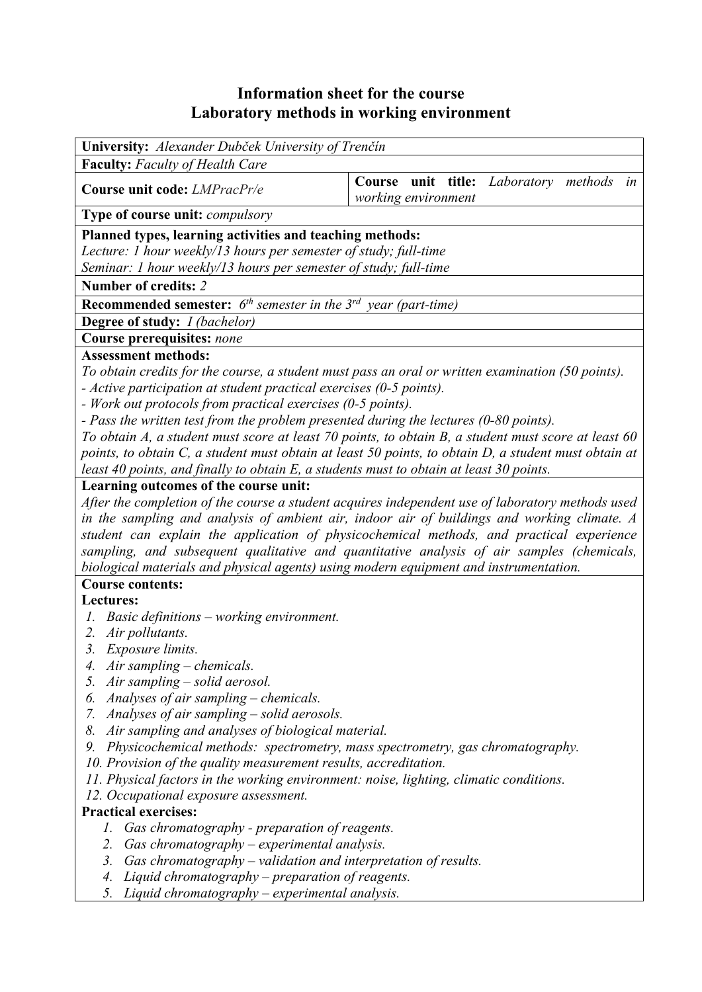# **Information sheet for the course Laboratory methods in working environment**

| University: Alexander Dubček University of Trenčín<br><b>Faculty:</b> Faculty of Health Care<br>Course unit title:<br>Laboratory<br>methods<br>in<br>Course unit code: LMPracPr/e<br>working environment<br>Type of course unit: compulsory<br>Planned types, learning activities and teaching methods:<br>Lecture: 1 hour weekly/13 hours per semester of study; full-time<br>Seminar: 1 hour weekly/13 hours per semester of study; full-time<br>Number of credits: 2<br><b>Recommended semester:</b> $6^{th}$ semester in the $3^{rd}$ year (part-time)<br>Degree of study: I (bachelor)<br>Course prerequisites: none<br><b>Assessment methods:</b><br>To obtain credits for the course, a student must pass an oral or written examination (50 points).<br>- Active participation at student practical exercises (0-5 points). |  |  |  |  |  |  |
|-------------------------------------------------------------------------------------------------------------------------------------------------------------------------------------------------------------------------------------------------------------------------------------------------------------------------------------------------------------------------------------------------------------------------------------------------------------------------------------------------------------------------------------------------------------------------------------------------------------------------------------------------------------------------------------------------------------------------------------------------------------------------------------------------------------------------------------|--|--|--|--|--|--|
|                                                                                                                                                                                                                                                                                                                                                                                                                                                                                                                                                                                                                                                                                                                                                                                                                                     |  |  |  |  |  |  |
|                                                                                                                                                                                                                                                                                                                                                                                                                                                                                                                                                                                                                                                                                                                                                                                                                                     |  |  |  |  |  |  |
|                                                                                                                                                                                                                                                                                                                                                                                                                                                                                                                                                                                                                                                                                                                                                                                                                                     |  |  |  |  |  |  |
|                                                                                                                                                                                                                                                                                                                                                                                                                                                                                                                                                                                                                                                                                                                                                                                                                                     |  |  |  |  |  |  |
|                                                                                                                                                                                                                                                                                                                                                                                                                                                                                                                                                                                                                                                                                                                                                                                                                                     |  |  |  |  |  |  |
|                                                                                                                                                                                                                                                                                                                                                                                                                                                                                                                                                                                                                                                                                                                                                                                                                                     |  |  |  |  |  |  |
|                                                                                                                                                                                                                                                                                                                                                                                                                                                                                                                                                                                                                                                                                                                                                                                                                                     |  |  |  |  |  |  |
|                                                                                                                                                                                                                                                                                                                                                                                                                                                                                                                                                                                                                                                                                                                                                                                                                                     |  |  |  |  |  |  |
|                                                                                                                                                                                                                                                                                                                                                                                                                                                                                                                                                                                                                                                                                                                                                                                                                                     |  |  |  |  |  |  |
|                                                                                                                                                                                                                                                                                                                                                                                                                                                                                                                                                                                                                                                                                                                                                                                                                                     |  |  |  |  |  |  |
|                                                                                                                                                                                                                                                                                                                                                                                                                                                                                                                                                                                                                                                                                                                                                                                                                                     |  |  |  |  |  |  |
|                                                                                                                                                                                                                                                                                                                                                                                                                                                                                                                                                                                                                                                                                                                                                                                                                                     |  |  |  |  |  |  |
|                                                                                                                                                                                                                                                                                                                                                                                                                                                                                                                                                                                                                                                                                                                                                                                                                                     |  |  |  |  |  |  |
|                                                                                                                                                                                                                                                                                                                                                                                                                                                                                                                                                                                                                                                                                                                                                                                                                                     |  |  |  |  |  |  |
| - Work out protocols from practical exercises (0-5 points).                                                                                                                                                                                                                                                                                                                                                                                                                                                                                                                                                                                                                                                                                                                                                                         |  |  |  |  |  |  |
| - Pass the written test from the problem presented during the lectures (0-80 points).                                                                                                                                                                                                                                                                                                                                                                                                                                                                                                                                                                                                                                                                                                                                               |  |  |  |  |  |  |
| To obtain A, a student must score at least 70 points, to obtain B, a student must score at least 60                                                                                                                                                                                                                                                                                                                                                                                                                                                                                                                                                                                                                                                                                                                                 |  |  |  |  |  |  |
| points, to obtain C, a student must obtain at least 50 points, to obtain D, a student must obtain at                                                                                                                                                                                                                                                                                                                                                                                                                                                                                                                                                                                                                                                                                                                                |  |  |  |  |  |  |
| least 40 points, and finally to obtain E, a students must to obtain at least 30 points.                                                                                                                                                                                                                                                                                                                                                                                                                                                                                                                                                                                                                                                                                                                                             |  |  |  |  |  |  |
| Learning outcomes of the course unit:                                                                                                                                                                                                                                                                                                                                                                                                                                                                                                                                                                                                                                                                                                                                                                                               |  |  |  |  |  |  |
| After the completion of the course a student acquires independent use of laboratory methods used                                                                                                                                                                                                                                                                                                                                                                                                                                                                                                                                                                                                                                                                                                                                    |  |  |  |  |  |  |
| in the sampling and analysis of ambient air, indoor air of buildings and working climate. A                                                                                                                                                                                                                                                                                                                                                                                                                                                                                                                                                                                                                                                                                                                                         |  |  |  |  |  |  |
| student can explain the application of physicochemical methods, and practical experience                                                                                                                                                                                                                                                                                                                                                                                                                                                                                                                                                                                                                                                                                                                                            |  |  |  |  |  |  |
| sampling, and subsequent qualitative and quantitative analysis of air samples (chemicals,                                                                                                                                                                                                                                                                                                                                                                                                                                                                                                                                                                                                                                                                                                                                           |  |  |  |  |  |  |
| biological materials and physical agents) using modern equipment and instrumentation.                                                                                                                                                                                                                                                                                                                                                                                                                                                                                                                                                                                                                                                                                                                                               |  |  |  |  |  |  |
| <b>Course contents:</b>                                                                                                                                                                                                                                                                                                                                                                                                                                                                                                                                                                                                                                                                                                                                                                                                             |  |  |  |  |  |  |
| Lectures:                                                                                                                                                                                                                                                                                                                                                                                                                                                                                                                                                                                                                                                                                                                                                                                                                           |  |  |  |  |  |  |
| Basic definitions – working environment.                                                                                                                                                                                                                                                                                                                                                                                                                                                                                                                                                                                                                                                                                                                                                                                            |  |  |  |  |  |  |
| Air pollutants.<br>2.                                                                                                                                                                                                                                                                                                                                                                                                                                                                                                                                                                                                                                                                                                                                                                                                               |  |  |  |  |  |  |
| 3. Exposure limits.<br>1 liveaughter eleminate                                                                                                                                                                                                                                                                                                                                                                                                                                                                                                                                                                                                                                                                                                                                                                                      |  |  |  |  |  |  |

- *4. Air sampling chemicals.*
- *5. Air sampling solid aerosol.*
- *6. Analyses of air sampling chemicals.*
- *7. Analyses of air sampling solid aerosols.*
- *8. Air sampling and analyses of biological material.*
- *9. Physicochemical methods: spectrometry, mass spectrometry, gas chromatography.*
- *10. Provision of the quality measurement results, accreditation.*
- *11. Physical factors in the working environment: noise, lighting, climatic conditions.*
- *12. Occupational exposure assessment.*

#### **Practical exercises:**

- *1. Gas chromatography preparation of reagents.*
- *2. Gas chromatography experimental analysis.*
- *3. Gas chromatography validation and interpretation of results.*
- *4. Liquid chromatography preparation of reagents.*
- *5. Liquid chromatography experimental analysis.*